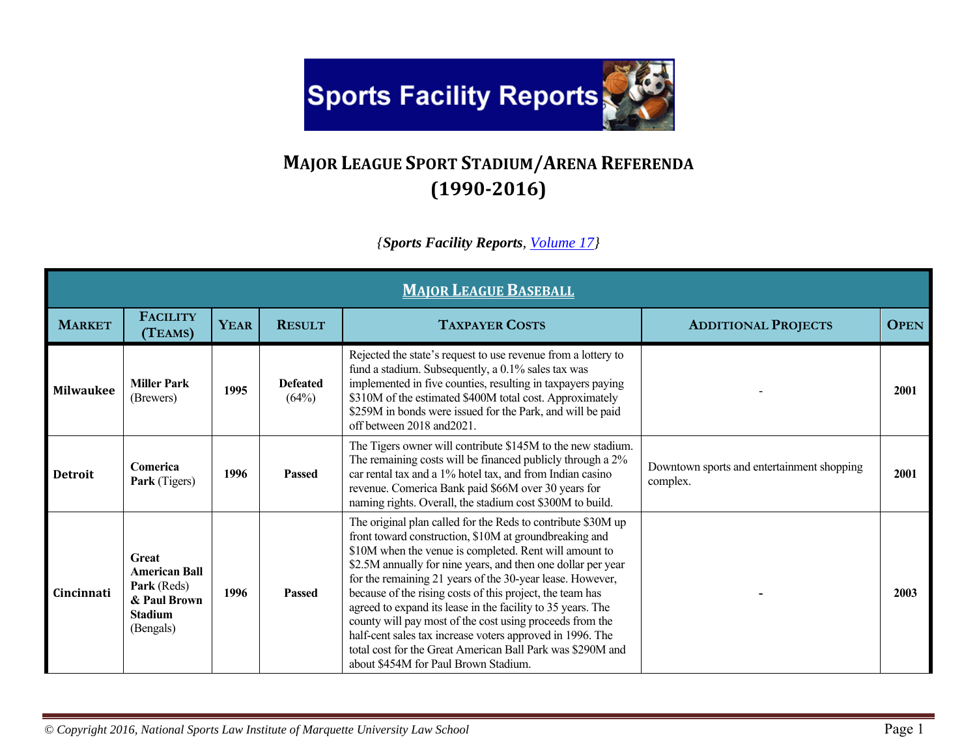

## **MAJOR LEAGUE SPORT STADIUM/ARENA REFERENDA (1990‐2016)**

## *{Sports Facility Reports, Volume 17}*

|                  | <b>MAIOR LEAGUE BASEBALL</b>                                                                |             |                          |                                                                                                                                                                                                                                                                                                                                                                                                                                                                                                                                                                                                                                                                          |                                                        |             |  |  |  |  |
|------------------|---------------------------------------------------------------------------------------------|-------------|--------------------------|--------------------------------------------------------------------------------------------------------------------------------------------------------------------------------------------------------------------------------------------------------------------------------------------------------------------------------------------------------------------------------------------------------------------------------------------------------------------------------------------------------------------------------------------------------------------------------------------------------------------------------------------------------------------------|--------------------------------------------------------|-------------|--|--|--|--|
| <b>MARKET</b>    | <b>FACILITY</b><br>(TEAMS)                                                                  | <b>YEAR</b> | <b>RESULT</b>            | <b>TAXPAYER COSTS</b>                                                                                                                                                                                                                                                                                                                                                                                                                                                                                                                                                                                                                                                    | <b>ADDITIONAL PROJECTS</b>                             | <b>OPEN</b> |  |  |  |  |
| <b>Milwaukee</b> | <b>Miller Park</b><br>(Brewers)                                                             | 1995        | <b>Defeated</b><br>(64%) | Rejected the state's request to use revenue from a lottery to<br>fund a stadium. Subsequently, a 0.1% sales tax was<br>implemented in five counties, resulting in taxpayers paying<br>\$310M of the estimated \$400M total cost. Approximately<br>\$259M in bonds were issued for the Park, and will be paid<br>off between 2018 and 2021.                                                                                                                                                                                                                                                                                                                               |                                                        | 2001        |  |  |  |  |
| <b>Detroit</b>   | Comerica<br>Park (Tigers)                                                                   | 1996        | <b>Passed</b>            | The Tigers owner will contribute \$145M to the new stadium.<br>The remaining costs will be financed publicly through a 2%<br>car rental tax and a 1% hotel tax, and from Indian casino<br>revenue. Comerica Bank paid \$66M over 30 years for<br>naming rights. Overall, the stadium cost \$300M to build.                                                                                                                                                                                                                                                                                                                                                               | Downtown sports and entertainment shopping<br>complex. | 2001        |  |  |  |  |
| Cincinnati       | Great<br><b>American Ball</b><br>Park (Reds)<br>& Paul Brown<br><b>Stadium</b><br>(Bengals) | 1996        | <b>Passed</b>            | The original plan called for the Reds to contribute \$30M up<br>front toward construction, \$10M at groundbreaking and<br>\$10M when the venue is completed. Rent will amount to<br>\$2.5M annually for nine years, and then one dollar per year<br>for the remaining 21 years of the 30-year lease. However,<br>because of the rising costs of this project, the team has<br>agreed to expand its lease in the facility to 35 years. The<br>county will pay most of the cost using proceeds from the<br>half-cent sales tax increase voters approved in 1996. The<br>total cost for the Great American Ball Park was \$290M and<br>about \$454M for Paul Brown Stadium. |                                                        | 2003        |  |  |  |  |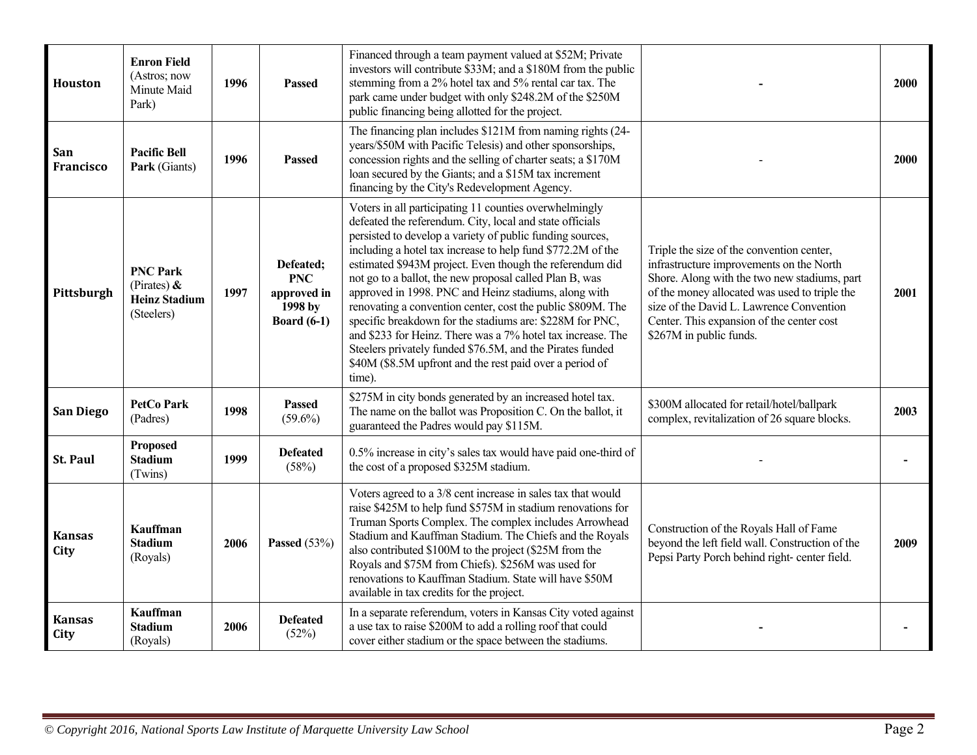| Houston               | <b>Enron Field</b><br>(Astros; now<br>Minute Maid<br>Park)              | 1996 | <b>Passed</b>                                                           | Financed through a team payment valued at \$52M; Private<br>investors will contribute \$33M; and a \$180M from the public<br>stemming from a 2% hotel tax and 5% rental car tax. The<br>park came under budget with only \$248.2M of the \$250M<br>public financing being allotted for the project.                                                                                                                                                                                                                                                                                                                                                                                                                                                        |                                                                                                                                                                                                                                                                                                            | 2000 |
|-----------------------|-------------------------------------------------------------------------|------|-------------------------------------------------------------------------|------------------------------------------------------------------------------------------------------------------------------------------------------------------------------------------------------------------------------------------------------------------------------------------------------------------------------------------------------------------------------------------------------------------------------------------------------------------------------------------------------------------------------------------------------------------------------------------------------------------------------------------------------------------------------------------------------------------------------------------------------------|------------------------------------------------------------------------------------------------------------------------------------------------------------------------------------------------------------------------------------------------------------------------------------------------------------|------|
| San<br>Francisco      | <b>Pacific Bell</b><br>Park (Giants)                                    | 1996 | <b>Passed</b>                                                           | The financing plan includes \$121M from naming rights (24-<br>years/\$50M with Pacific Telesis) and other sponsorships,<br>concession rights and the selling of charter seats; a \$170M<br>loan secured by the Giants; and a \$15M tax increment<br>financing by the City's Redevelopment Agency.                                                                                                                                                                                                                                                                                                                                                                                                                                                          |                                                                                                                                                                                                                                                                                                            | 2000 |
| Pittsburgh            | <b>PNC Park</b><br>(Pirates) $\&$<br><b>Heinz Stadium</b><br>(Steelers) | 1997 | Defeated;<br><b>PNC</b><br>approved in<br>1998 by<br><b>Board</b> (6-1) | Voters in all participating 11 counties overwhelmingly<br>defeated the referendum. City, local and state officials<br>persisted to develop a variety of public funding sources,<br>including a hotel tax increase to help fund \$772.2M of the<br>estimated \$943M project. Even though the referendum did<br>not go to a ballot, the new proposal called Plan B, was<br>approved in 1998. PNC and Heinz stadiums, along with<br>renovating a convention center, cost the public \$809M. The<br>specific breakdown for the stadiums are: \$228M for PNC,<br>and \$233 for Heinz. There was a 7% hotel tax increase. The<br>Steelers privately funded \$76.5M, and the Pirates funded<br>\$40M (\$8.5M upfront and the rest paid over a period of<br>time). | Triple the size of the convention center,<br>infrastructure improvements on the North<br>Shore. Along with the two new stadiums, part<br>of the money allocated was used to triple the<br>size of the David L. Lawrence Convention<br>Center. This expansion of the center cost<br>\$267M in public funds. | 2001 |
| San Diego             | <b>PetCo Park</b><br>(Padres)                                           | 1998 | <b>Passed</b><br>$(59.6\%)$                                             | \$275M in city bonds generated by an increased hotel tax.<br>The name on the ballot was Proposition C. On the ballot, it<br>guaranteed the Padres would pay \$115M.                                                                                                                                                                                                                                                                                                                                                                                                                                                                                                                                                                                        | \$300M allocated for retail/hotel/ballpark<br>complex, revitalization of 26 square blocks.                                                                                                                                                                                                                 | 2003 |
| <b>St. Paul</b>       | Proposed<br><b>Stadium</b><br>(Twins)                                   | 1999 | <b>Defeated</b><br>(58%)                                                | 0.5% increase in city's sales tax would have paid one-third of<br>the cost of a proposed \$325M stadium.                                                                                                                                                                                                                                                                                                                                                                                                                                                                                                                                                                                                                                                   |                                                                                                                                                                                                                                                                                                            |      |
| <b>Kansas</b><br>City | <b>Kauffman</b><br><b>Stadium</b><br>(Royals)                           | 2006 | Passed $(53%)$                                                          | Voters agreed to a 3/8 cent increase in sales tax that would<br>raise \$425M to help fund \$575M in stadium renovations for<br>Truman Sports Complex. The complex includes Arrowhead<br>Stadium and Kauffman Stadium. The Chiefs and the Royals<br>also contributed \$100M to the project (\$25M from the<br>Royals and \$75M from Chiefs). \$256M was used for<br>renovations to Kauffman Stadium. State will have \$50M<br>available in tax credits for the project.                                                                                                                                                                                                                                                                                     | Construction of the Royals Hall of Fame<br>beyond the left field wall. Construction of the<br>Pepsi Party Porch behind right- center field.                                                                                                                                                                |      |
| <b>Kansas</b><br>City | <b>Kauffman</b><br><b>Stadium</b><br>(Royals)                           | 2006 | <b>Defeated</b><br>(52%)                                                | In a separate referendum, voters in Kansas City voted against<br>a use tax to raise \$200M to add a rolling roof that could<br>cover either stadium or the space between the stadiums.                                                                                                                                                                                                                                                                                                                                                                                                                                                                                                                                                                     |                                                                                                                                                                                                                                                                                                            |      |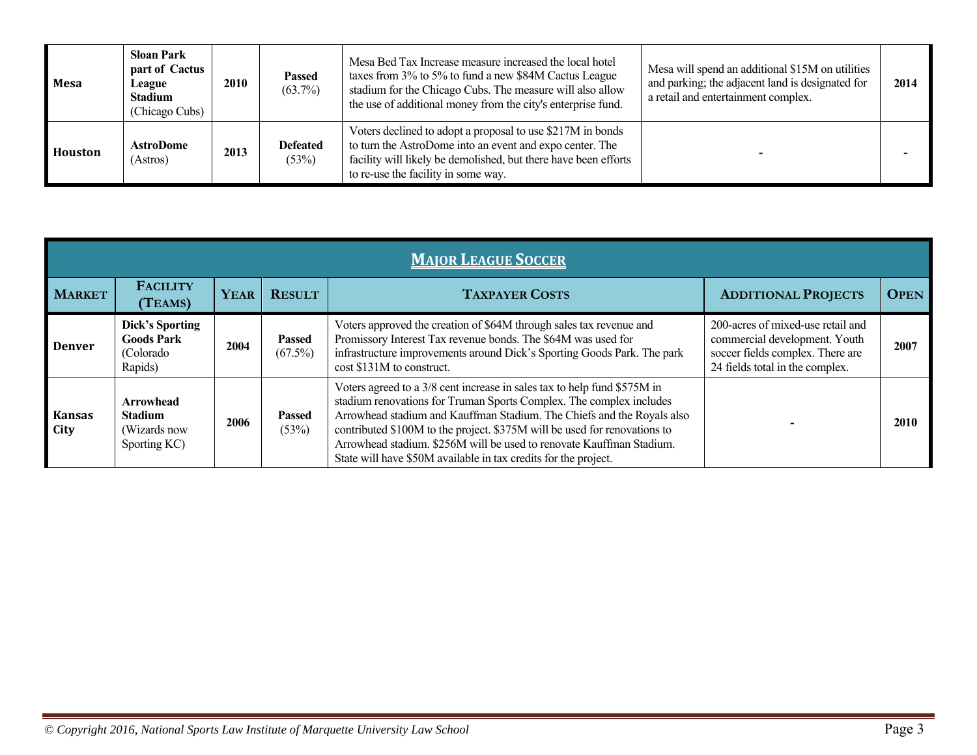| <b>Mesa</b> | <b>Sloan Park</b><br>part of Cactus<br>League<br><b>Stadium</b><br>(Chicago Cubs) | 2010 | <b>Passed</b><br>$(63.7\%)$ | Mesa Bed Tax Increase measure increased the local hotel<br>taxes from 3% to 5% to fund a new \$84M Cactus League<br>stadium for the Chicago Cubs. The measure will also allow<br>the use of additional money from the city's enterprise fund. | Mesa will spend an additional \$15M on utilities<br>and parking; the adjacent land is designated for<br>a retail and entertainment complex. | 2014 |
|-------------|-----------------------------------------------------------------------------------|------|-----------------------------|-----------------------------------------------------------------------------------------------------------------------------------------------------------------------------------------------------------------------------------------------|---------------------------------------------------------------------------------------------------------------------------------------------|------|
| Houston     | <b>AstroDome</b><br>(Astros)                                                      | 2013 | <b>Defeated</b><br>(53%)    | Voters declined to adopt a proposal to use \$217M in bonds<br>to turn the AstroDome into an event and expo center. The<br>facility will likely be demolished, but there have been efforts<br>to re-use the facility in some way.              |                                                                                                                                             |      |

|                       | <b>MAJOR LEAGUE SOCCER</b>                                           |             |                             |                                                                                                                                                                                                                                                                                                                                                                                                                                                   |                                                                                                                                           |             |  |  |  |  |
|-----------------------|----------------------------------------------------------------------|-------------|-----------------------------|---------------------------------------------------------------------------------------------------------------------------------------------------------------------------------------------------------------------------------------------------------------------------------------------------------------------------------------------------------------------------------------------------------------------------------------------------|-------------------------------------------------------------------------------------------------------------------------------------------|-------------|--|--|--|--|
| <b>MARKET</b>         | <b>FACILITY</b><br>(TEAMS)                                           | <b>YEAR</b> | <b>RESULT</b>               | <b>TAXPAYER COSTS</b>                                                                                                                                                                                                                                                                                                                                                                                                                             | <b>ADDITIONAL PROJECTS</b>                                                                                                                | <b>OPEN</b> |  |  |  |  |
| <b>Denver</b>         | <b>Dick's Sporting</b><br><b>Goods Park</b><br>(Colorado)<br>Rapids) | 2004        | <b>Passed</b><br>$(67.5\%)$ | Voters approved the creation of \$64M through sales tax revenue and<br>Promissory Interest Tax revenue bonds. The \$64M was used for<br>infrastructure improvements around Dick's Sporting Goods Park. The park<br>cost \$131M to construct.                                                                                                                                                                                                      | 200-acres of mixed-use retail and<br>commercial development. Youth<br>soccer fields complex. There are<br>24 fields total in the complex. | 2007        |  |  |  |  |
| <b>Kansas</b><br>City | <b>Arrowhead</b><br><b>Stadium</b><br>(Wizards now)<br>Sporting KC)  | 2006        | <b>Passed</b><br>(53%)      | Voters agreed to a 3/8 cent increase in sales tax to help fund \$575M in<br>stadium renovations for Truman Sports Complex. The complex includes<br>Arrowhead stadium and Kauffman Stadium. The Chiefs and the Royals also<br>contributed \$100M to the project. \$375M will be used for renovations to<br>Arrowhead stadium. \$256M will be used to renovate Kauffman Stadium.<br>State will have \$50M available in tax credits for the project. |                                                                                                                                           | 2010        |  |  |  |  |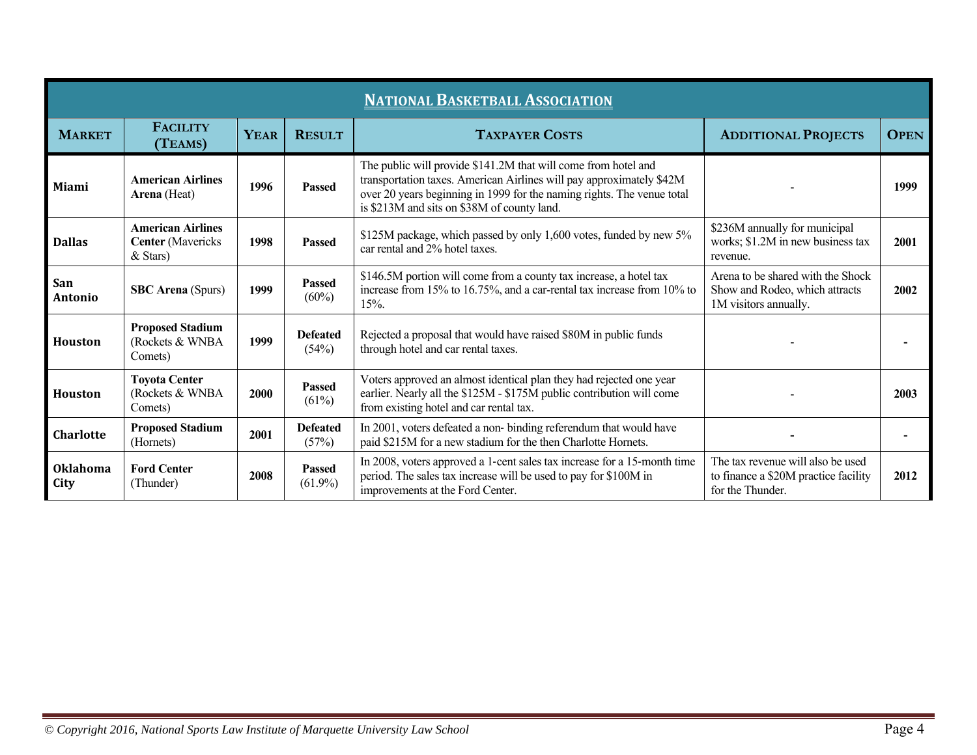| <b>NATIONAL BASKETBALL ASSOCIATION</b> |                                                                    |             |                             |                                                                                                                                                                                                                                                                 |                                                                                               |             |  |  |  |  |
|----------------------------------------|--------------------------------------------------------------------|-------------|-----------------------------|-----------------------------------------------------------------------------------------------------------------------------------------------------------------------------------------------------------------------------------------------------------------|-----------------------------------------------------------------------------------------------|-------------|--|--|--|--|
| <b>MARKET</b>                          | <b>FACILITY</b><br>(TEAMS)                                         | <b>YEAR</b> | <b>RESULT</b>               | <b>TAXPAYER COSTS</b>                                                                                                                                                                                                                                           | <b>ADDITIONAL PROJECTS</b>                                                                    | <b>OPEN</b> |  |  |  |  |
| Miami                                  | <b>American Airlines</b><br>Arena (Heat)                           | 1996        | <b>Passed</b>               | The public will provide \$141.2M that will come from hotel and<br>transportation taxes. American Airlines will pay approximately \$42M<br>over 20 years beginning in 1999 for the naming rights. The venue total<br>is \$213M and sits on \$38M of county land. |                                                                                               | 1999        |  |  |  |  |
| <b>Dallas</b>                          | <b>American Airlines</b><br><b>Center</b> (Mavericks<br>$&$ Stars) | 1998        | <b>Passed</b>               | \$125M package, which passed by only 1,600 votes, funded by new 5%<br>car rental and 2% hotel taxes.                                                                                                                                                            | \$236M annually for municipal<br>works; \$1.2M in new business tax<br>revenue.                | 2001        |  |  |  |  |
| San<br>Antonio                         | <b>SBC</b> Arena (Spurs)                                           | 1999        | <b>Passed</b><br>$(60\%)$   | \$146.5M portion will come from a county tax increase, a hotel tax<br>increase from 15% to 16.75%, and a car-rental tax increase from 10% to<br>15%.                                                                                                            | Arena to be shared with the Shock<br>Show and Rodeo, which attracts<br>1M visitors annually.  | 2002        |  |  |  |  |
| <b>Houston</b>                         | <b>Proposed Stadium</b><br>(Rockets & WNBA<br>Comets)              | 1999        | <b>Defeated</b><br>(54%)    | Rejected a proposal that would have raised \$80M in public funds<br>through hotel and car rental taxes.                                                                                                                                                         |                                                                                               |             |  |  |  |  |
| <b>Houston</b>                         | <b>Toyota Center</b><br>(Rockets & WNBA<br>Comets)                 | 2000        | <b>Passed</b><br>(61%)      | Voters approved an almost identical plan they had rejected one year<br>earlier. Nearly all the \$125M - \$175M public contribution will come<br>from existing hotel and car rental tax.                                                                         |                                                                                               | 2003        |  |  |  |  |
| <b>Charlotte</b>                       | <b>Proposed Stadium</b><br>(Hornets)                               | 2001        | <b>Defeated</b><br>(57%)    | In 2001, voters defeated a non-binding referendum that would have<br>paid \$215M for a new stadium for the then Charlotte Hornets.                                                                                                                              |                                                                                               |             |  |  |  |  |
| <b>Oklahoma</b><br>City                | <b>Ford Center</b><br>(Thunder)                                    | 2008        | <b>Passed</b><br>$(61.9\%)$ | In 2008, voters approved a 1-cent sales tax increase for a 15-month time<br>period. The sales tax increase will be used to pay for \$100M in<br>improvements at the Ford Center.                                                                                | The tax revenue will also be used<br>to finance a \$20M practice facility<br>for the Thunder. | 2012        |  |  |  |  |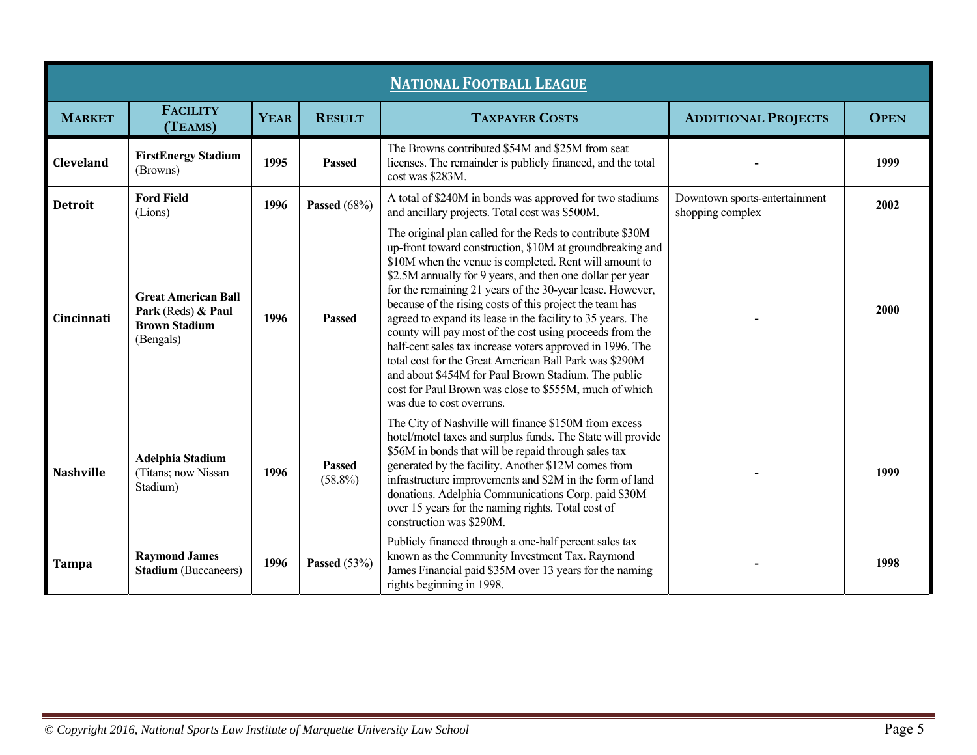|                  | <b>NATIONAL FOOTBALL LEAGUE</b>                                                       |             |                             |                                                                                                                                                                                                                                                                                                                                                                                                                                                                                                                                                                                                                                                                                                                                                                        |                                                   |             |  |  |  |  |
|------------------|---------------------------------------------------------------------------------------|-------------|-----------------------------|------------------------------------------------------------------------------------------------------------------------------------------------------------------------------------------------------------------------------------------------------------------------------------------------------------------------------------------------------------------------------------------------------------------------------------------------------------------------------------------------------------------------------------------------------------------------------------------------------------------------------------------------------------------------------------------------------------------------------------------------------------------------|---------------------------------------------------|-------------|--|--|--|--|
| <b>MARKET</b>    | <b>FACILITY</b><br>(TEAMS)                                                            | <b>YEAR</b> | <b>RESULT</b>               | <b>TAXPAYER COSTS</b>                                                                                                                                                                                                                                                                                                                                                                                                                                                                                                                                                                                                                                                                                                                                                  | <b>ADDITIONAL PROJECTS</b>                        | <b>OPEN</b> |  |  |  |  |
| Cleveland        | <b>FirstEnergy Stadium</b><br>(Browns)                                                | 1995        | Passed                      | The Browns contributed \$54M and \$25M from seat<br>licenses. The remainder is publicly financed, and the total<br>cost was \$283M.                                                                                                                                                                                                                                                                                                                                                                                                                                                                                                                                                                                                                                    |                                                   | 1999        |  |  |  |  |
| <b>Detroit</b>   | <b>Ford Field</b><br>(Lions)                                                          | 1996        | <b>Passed</b> (68%)         | A total of \$240M in bonds was approved for two stadiums<br>and ancillary projects. Total cost was \$500M.                                                                                                                                                                                                                                                                                                                                                                                                                                                                                                                                                                                                                                                             | Downtown sports-entertainment<br>shopping complex | 2002        |  |  |  |  |
| Cincinnati       | <b>Great American Ball</b><br>Park (Reds) & Paul<br><b>Brown Stadium</b><br>(Bengals) | 1996        | Passed                      | The original plan called for the Reds to contribute \$30M<br>up-front toward construction, \$10M at groundbreaking and<br>\$10M when the venue is completed. Rent will amount to<br>\$2.5M annually for 9 years, and then one dollar per year<br>for the remaining 21 years of the 30-year lease. However,<br>because of the rising costs of this project the team has<br>agreed to expand its lease in the facility to 35 years. The<br>county will pay most of the cost using proceeds from the<br>half-cent sales tax increase voters approved in 1996. The<br>total cost for the Great American Ball Park was \$290M<br>and about \$454M for Paul Brown Stadium. The public<br>cost for Paul Brown was close to \$555M, much of which<br>was due to cost overruns. |                                                   | 2000        |  |  |  |  |
| <b>Nashville</b> | <b>Adelphia Stadium</b><br>(Titans; now Nissan<br>Stadium)                            | 1996        | <b>Passed</b><br>$(58.8\%)$ | The City of Nashville will finance \$150M from excess<br>hotel/motel taxes and surplus funds. The State will provide<br>\$56M in bonds that will be repaid through sales tax<br>generated by the facility. Another \$12M comes from<br>infrastructure improvements and \$2M in the form of land<br>donations. Adelphia Communications Corp. paid \$30M<br>over 15 years for the naming rights. Total cost of<br>construction was \$290M.                                                                                                                                                                                                                                                                                                                               |                                                   | 1999        |  |  |  |  |
| <b>Tampa</b>     | <b>Raymond James</b><br><b>Stadium</b> (Buccaneers)                                   | 1996        | Passed $(53%)$              | Publicly financed through a one-half percent sales tax<br>known as the Community Investment Tax. Raymond<br>James Financial paid \$35M over 13 years for the naming<br>rights beginning in 1998.                                                                                                                                                                                                                                                                                                                                                                                                                                                                                                                                                                       |                                                   | 1998        |  |  |  |  |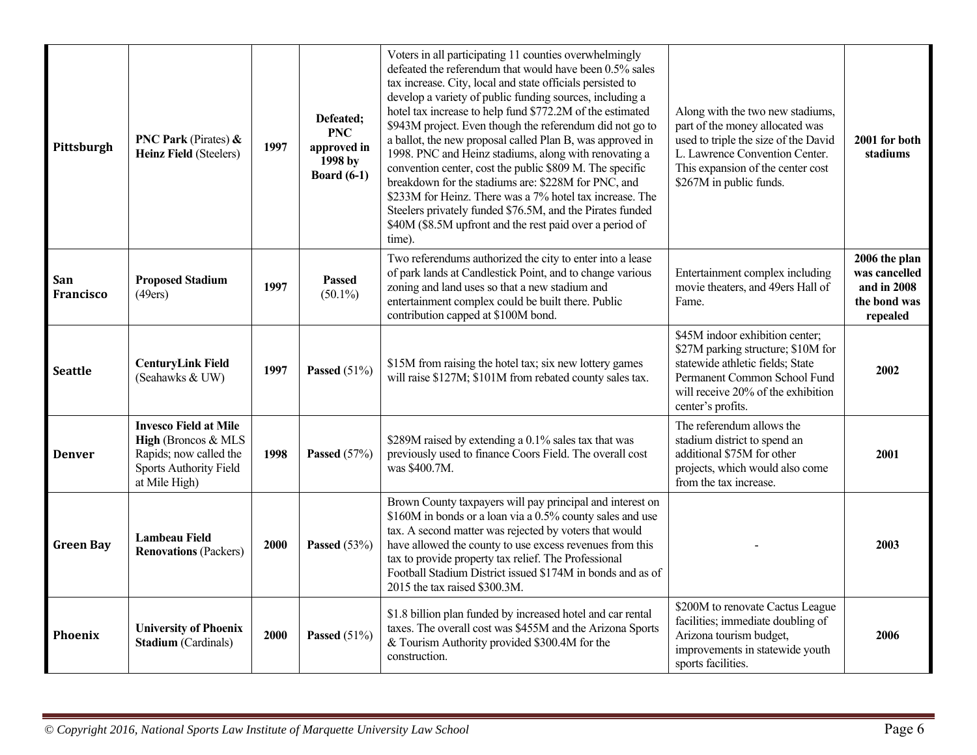| Pittsburgh              | <b>PNC Park (Pirates) &amp;</b><br><b>Heinz Field (Steelers)</b>                                                                | 1997 | Defeated;<br><b>PNC</b><br>approved in<br>1998 by<br><b>Board</b> (6-1) | Voters in all participating 11 counties overwhelmingly<br>defeated the referendum that would have been 0.5% sales<br>tax increase. City, local and state officials persisted to<br>develop a variety of public funding sources, including a<br>hotel tax increase to help fund \$772.2M of the estimated<br>\$943M project. Even though the referendum did not go to<br>a ballot, the new proposal called Plan B, was approved in<br>1998. PNC and Heinz stadiums, along with renovating a<br>convention center, cost the public \$809 M. The specific<br>breakdown for the stadiums are: \$228M for PNC, and<br>\$233M for Heinz. There was a 7% hotel tax increase. The<br>Steelers privately funded \$76.5M, and the Pirates funded<br>\$40M (\$8.5M upfront and the rest paid over a period of<br>time). | Along with the two new stadiums,<br>part of the money allocated was<br>used to triple the size of the David<br>L. Lawrence Convention Center.<br>This expansion of the center cost<br>\$267M in public funds. | 2001 for both<br>stadiums                                                 |
|-------------------------|---------------------------------------------------------------------------------------------------------------------------------|------|-------------------------------------------------------------------------|--------------------------------------------------------------------------------------------------------------------------------------------------------------------------------------------------------------------------------------------------------------------------------------------------------------------------------------------------------------------------------------------------------------------------------------------------------------------------------------------------------------------------------------------------------------------------------------------------------------------------------------------------------------------------------------------------------------------------------------------------------------------------------------------------------------|---------------------------------------------------------------------------------------------------------------------------------------------------------------------------------------------------------------|---------------------------------------------------------------------------|
| San<br><b>Francisco</b> | <b>Proposed Stadium</b><br>(49ers)                                                                                              | 1997 | <b>Passed</b><br>$(50.1\%)$                                             | Two referendums authorized the city to enter into a lease<br>of park lands at Candlestick Point, and to change various<br>zoning and land uses so that a new stadium and<br>entertainment complex could be built there. Public<br>contribution capped at \$100M bond.                                                                                                                                                                                                                                                                                                                                                                                                                                                                                                                                        | Entertainment complex including<br>movie theaters, and 49ers Hall of<br>Fame.                                                                                                                                 | 2006 the plan<br>was cancelled<br>and in 2008<br>the bond was<br>repealed |
| <b>Seattle</b>          | <b>CenturyLink Field</b><br>(Seahawks & UW)                                                                                     | 1997 | Passed $(51%)$                                                          | \$15M from raising the hotel tax; six new lottery games<br>will raise \$127M; \$101M from rebated county sales tax.                                                                                                                                                                                                                                                                                                                                                                                                                                                                                                                                                                                                                                                                                          | \$45M indoor exhibition center;<br>\$27M parking structure; \$10M for<br>statewide athletic fields; State<br>Permanent Common School Fund<br>will receive 20% of the exhibition<br>center's profits.          | 2002                                                                      |
| <b>Denver</b>           | <b>Invesco Field at Mile</b><br>High (Broncos & MLS<br>Rapids; now called the<br><b>Sports Authority Field</b><br>at Mile High) | 1998 | Passed $(57%)$                                                          | \$289M raised by extending a 0.1% sales tax that was<br>previously used to finance Coors Field. The overall cost<br>was \$400.7M.                                                                                                                                                                                                                                                                                                                                                                                                                                                                                                                                                                                                                                                                            | The referendum allows the<br>stadium district to spend an<br>additional \$75M for other<br>projects, which would also come<br>from the tax increase.                                                          | 2001                                                                      |
| <b>Green Bay</b>        | <b>Lambeau Field</b><br><b>Renovations (Packers)</b>                                                                            | 2000 | Passed $(53%)$                                                          | Brown County taxpayers will pay principal and interest on<br>\$160M in bonds or a loan via a 0.5% county sales and use<br>tax. A second matter was rejected by voters that would<br>have allowed the county to use excess revenues from this<br>tax to provide property tax relief. The Professional<br>Football Stadium District issued \$174M in bonds and as of<br>2015 the tax raised \$300.3M.                                                                                                                                                                                                                                                                                                                                                                                                          |                                                                                                                                                                                                               | 2003                                                                      |
| <b>Phoenix</b>          | <b>University of Phoenix</b><br><b>Stadium</b> (Cardinals)                                                                      | 2000 | Passed $(51%)$                                                          | \$1.8 billion plan funded by increased hotel and car rental<br>taxes. The overall cost was \$455M and the Arizona Sports<br>& Tourism Authority provided \$300.4M for the<br>construction.                                                                                                                                                                                                                                                                                                                                                                                                                                                                                                                                                                                                                   | \$200M to renovate Cactus League<br>facilities; immediate doubling of<br>Arizona tourism budget,<br>improvements in statewide youth<br>sports facilities.                                                     | 2006                                                                      |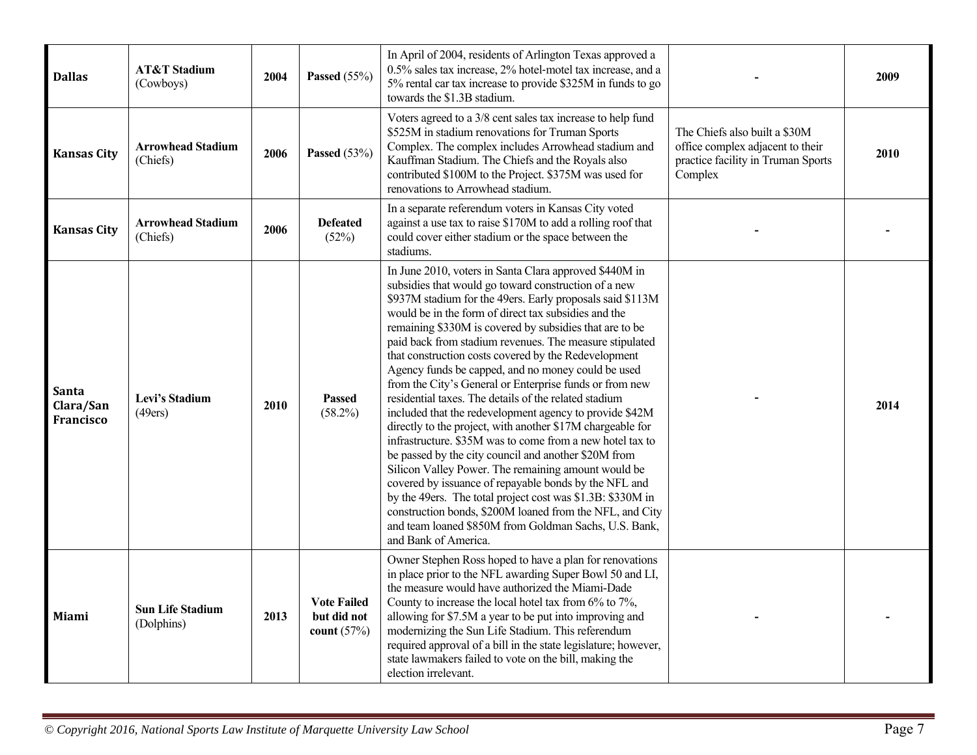| <b>Dallas</b>                          | <b>AT&amp;T Stadium</b><br>(Cowboys)  | 2004 | Passed $(55%)$                                     | In April of 2004, residents of Arlington Texas approved a<br>0.5% sales tax increase, 2% hotel-motel tax increase, and a<br>5% rental car tax increase to provide \$325M in funds to go<br>towards the \$1.3B stadium.                                                                                                                                                                                                                                                                                                                                                                                                                                                                                                                                                                                                                                                                                                                                                                                                                                                                                                                                               |                                                                                                                    | 2009 |
|----------------------------------------|---------------------------------------|------|----------------------------------------------------|----------------------------------------------------------------------------------------------------------------------------------------------------------------------------------------------------------------------------------------------------------------------------------------------------------------------------------------------------------------------------------------------------------------------------------------------------------------------------------------------------------------------------------------------------------------------------------------------------------------------------------------------------------------------------------------------------------------------------------------------------------------------------------------------------------------------------------------------------------------------------------------------------------------------------------------------------------------------------------------------------------------------------------------------------------------------------------------------------------------------------------------------------------------------|--------------------------------------------------------------------------------------------------------------------|------|
| <b>Kansas City</b>                     | <b>Arrowhead Stadium</b><br>(Chiefs)  | 2006 | Passed $(53%)$                                     | Voters agreed to a 3/8 cent sales tax increase to help fund<br>\$525M in stadium renovations for Truman Sports<br>Complex. The complex includes Arrowhead stadium and<br>Kauffman Stadium. The Chiefs and the Royals also<br>contributed \$100M to the Project. \$375M was used for<br>renovations to Arrowhead stadium.                                                                                                                                                                                                                                                                                                                                                                                                                                                                                                                                                                                                                                                                                                                                                                                                                                             | The Chiefs also built a \$30M<br>office complex adjacent to their<br>practice facility in Truman Sports<br>Complex | 2010 |
| <b>Kansas City</b>                     | <b>Arrowhead Stadium</b><br>(Chiefs)  | 2006 | <b>Defeated</b><br>(52%)                           | In a separate referendum voters in Kansas City voted<br>against a use tax to raise \$170M to add a rolling roof that<br>could cover either stadium or the space between the<br>stadiums.                                                                                                                                                                                                                                                                                                                                                                                                                                                                                                                                                                                                                                                                                                                                                                                                                                                                                                                                                                             |                                                                                                                    |      |
| Santa<br>Clara/San<br><b>Francisco</b> | Levi's Stadium<br>(49ers)             | 2010 | <b>Passed</b><br>$(58.2\%)$                        | In June 2010, voters in Santa Clara approved \$440M in<br>subsidies that would go toward construction of a new<br>\$937M stadium for the 49ers. Early proposals said \$113M<br>would be in the form of direct tax subsidies and the<br>remaining \$330M is covered by subsidies that are to be<br>paid back from stadium revenues. The measure stipulated<br>that construction costs covered by the Redevelopment<br>Agency funds be capped, and no money could be used<br>from the City's General or Enterprise funds or from new<br>residential taxes. The details of the related stadium<br>included that the redevelopment agency to provide \$42M<br>directly to the project, with another \$17M chargeable for<br>infrastructure. \$35M was to come from a new hotel tax to<br>be passed by the city council and another \$20M from<br>Silicon Valley Power. The remaining amount would be<br>covered by issuance of repayable bonds by the NFL and<br>by the 49ers. The total project cost was \$1.3B: \$330M in<br>construction bonds, \$200M loaned from the NFL, and City<br>and team loaned \$850M from Goldman Sachs, U.S. Bank,<br>and Bank of America. |                                                                                                                    | 2014 |
| Miami                                  | <b>Sun Life Stadium</b><br>(Dolphins) | 2013 | <b>Vote Failed</b><br>but did not<br>count $(57%)$ | Owner Stephen Ross hoped to have a plan for renovations<br>in place prior to the NFL awarding Super Bowl 50 and LI,<br>the measure would have authorized the Miami-Dade<br>County to increase the local hotel tax from 6% to 7%,<br>allowing for \$7.5M a year to be put into improving and<br>modernizing the Sun Life Stadium. This referendum<br>required approval of a bill in the state legislature; however,<br>state lawmakers failed to vote on the bill, making the<br>election irrelevant.                                                                                                                                                                                                                                                                                                                                                                                                                                                                                                                                                                                                                                                                 |                                                                                                                    |      |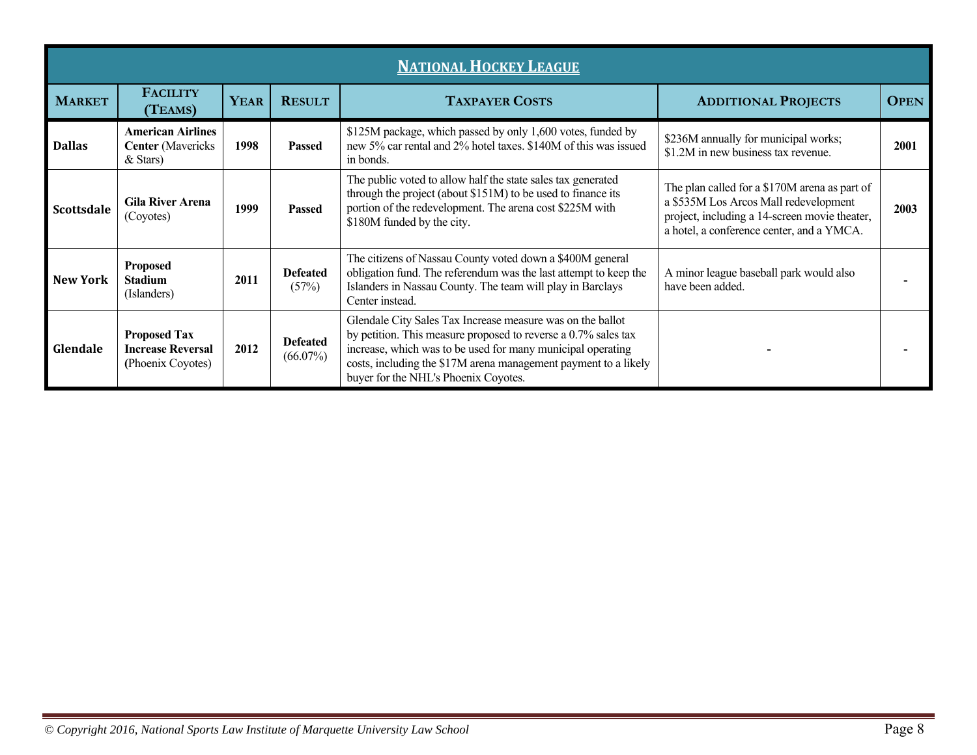|                 | <b>NATIONAL HOCKEY LEAGUE</b>                                        |             |                                |                                                                                                                                                                                                                                                                                                        |                                                                                                                                                                                      |             |  |  |  |  |
|-----------------|----------------------------------------------------------------------|-------------|--------------------------------|--------------------------------------------------------------------------------------------------------------------------------------------------------------------------------------------------------------------------------------------------------------------------------------------------------|--------------------------------------------------------------------------------------------------------------------------------------------------------------------------------------|-------------|--|--|--|--|
| <b>MARKET</b>   | <b>FACILITY</b><br>(TEAMS)                                           | <b>YEAR</b> | <b>RESULT</b>                  | <b>TAXPAYER COSTS</b>                                                                                                                                                                                                                                                                                  | <b>ADDITIONAL PROJECTS</b>                                                                                                                                                           | <b>OPEN</b> |  |  |  |  |
| <b>Dallas</b>   | <b>American Airlines</b><br><b>Center</b> (Mavericks<br>& Stars)     | 1998        | <b>Passed</b>                  | \$125M package, which passed by only 1,600 votes, funded by<br>new 5% car rental and 2% hotel taxes. \$140M of this was issued<br>in bonds.                                                                                                                                                            | \$236M annually for municipal works;<br>\$1.2M in new business tax revenue.                                                                                                          | 2001        |  |  |  |  |
| Scottsdale      | <b>Gila River Arena</b><br>(Coyotes)                                 | 1999        | <b>Passed</b>                  | The public voted to allow half the state sales tax generated<br>through the project (about \$151M) to be used to finance its<br>portion of the redevelopment. The arena cost \$225M with<br>\$180M funded by the city.                                                                                 | The plan called for a \$170M arena as part of<br>a \$535M Los Arcos Mall redevelopment<br>project, including a 14-screen movie theater,<br>a hotel, a conference center, and a YMCA. | 2003        |  |  |  |  |
| <b>New York</b> | <b>Proposed</b><br><b>Stadium</b><br>(Islanders)                     | 2011        | <b>Defeated</b><br>(57%)       | The citizens of Nassau County voted down a \$400M general<br>obligation fund. The referendum was the last attempt to keep the<br>Islanders in Nassau County. The team will play in Barclays<br>Center instead.                                                                                         | A minor league baseball park would also<br>have been added.                                                                                                                          |             |  |  |  |  |
| Glendale        | <b>Proposed Tax</b><br><b>Increase Reversal</b><br>(Phoenix Coyotes) | 2012        | <b>Defeated</b><br>$(66.07\%)$ | Glendale City Sales Tax Increase measure was on the ballot<br>by petition. This measure proposed to reverse a 0.7% sales tax<br>increase, which was to be used for many municipal operating<br>costs, including the \$17M arena management payment to a likely<br>buyer for the NHL's Phoenix Coyotes. |                                                                                                                                                                                      |             |  |  |  |  |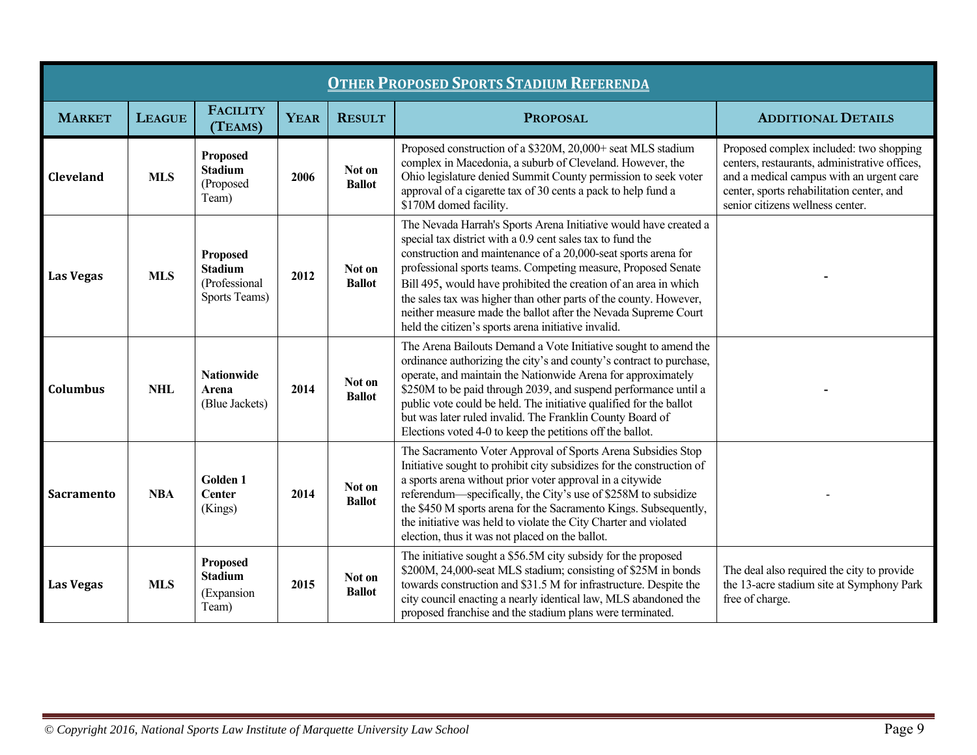| <b>OTHER PROPOSED SPORTS STADIUM REFERENDA</b> |               |                                                              |             |                         |                                                                                                                                                                                                                                                                                                                                                                                                                                                                                                                                     |                                                                                                                                                                                                                       |  |  |  |
|------------------------------------------------|---------------|--------------------------------------------------------------|-------------|-------------------------|-------------------------------------------------------------------------------------------------------------------------------------------------------------------------------------------------------------------------------------------------------------------------------------------------------------------------------------------------------------------------------------------------------------------------------------------------------------------------------------------------------------------------------------|-----------------------------------------------------------------------------------------------------------------------------------------------------------------------------------------------------------------------|--|--|--|
| <b>MARKET</b>                                  | <b>LEAGUE</b> | <b>FACILITY</b><br>(TEAMS)                                   | <b>YEAR</b> | <b>RESULT</b>           | <b>PROPOSAL</b>                                                                                                                                                                                                                                                                                                                                                                                                                                                                                                                     | <b>ADDITIONAL DETAILS</b>                                                                                                                                                                                             |  |  |  |
| Cleveland                                      | <b>MLS</b>    | Proposed<br><b>Stadium</b><br>(Proposed<br>Team)             | 2006        | Not on<br><b>Ballot</b> | Proposed construction of a \$320M, 20,000+ seat MLS stadium<br>complex in Macedonia, a suburb of Cleveland. However, the<br>Ohio legislature denied Summit County permission to seek voter<br>approval of a cigarette tax of 30 cents a pack to help fund a<br>\$170M domed facility.                                                                                                                                                                                                                                               | Proposed complex included: two shopping<br>centers, restaurants, administrative offices,<br>and a medical campus with an urgent care<br>center, sports rehabilitation center, and<br>senior citizens wellness center. |  |  |  |
| <b>Las Vegas</b>                               | <b>MLS</b>    | Proposed<br><b>Stadium</b><br>(Professional<br>Sports Teams) | 2012        | Not on<br><b>Ballot</b> | The Nevada Harrah's Sports Arena Initiative would have created a<br>special tax district with a 0.9 cent sales tax to fund the<br>construction and maintenance of a 20,000-seat sports arena for<br>professional sports teams. Competing measure, Proposed Senate<br>Bill 495, would have prohibited the creation of an area in which<br>the sales tax was higher than other parts of the county. However,<br>neither measure made the ballot after the Nevada Supreme Court<br>held the citizen's sports arena initiative invalid. |                                                                                                                                                                                                                       |  |  |  |
| <b>Columbus</b>                                | <b>NHL</b>    | <b>Nationwide</b><br>Arena<br>(Blue Jackets)                 | 2014        | Not on<br><b>Ballot</b> | The Arena Bailouts Demand a Vote Initiative sought to amend the<br>ordinance authorizing the city's and county's contract to purchase,<br>operate, and maintain the Nationwide Arena for approximately<br>\$250M to be paid through 2039, and suspend performance until a<br>public vote could be held. The initiative qualified for the ballot<br>but was later ruled invalid. The Franklin County Board of<br>Elections voted 4-0 to keep the petitions off the ballot.                                                           |                                                                                                                                                                                                                       |  |  |  |
| Sacramento                                     | <b>NBA</b>    | <b>Golden 1</b><br><b>Center</b><br>(Kings)                  | 2014        | Not on<br><b>Ballot</b> | The Sacramento Voter Approval of Sports Arena Subsidies Stop<br>Initiative sought to prohibit city subsidizes for the construction of<br>a sports arena without prior voter approval in a citywide<br>referendum—specifically, the City's use of \$258M to subsidize<br>the \$450 M sports arena for the Sacramento Kings. Subsequently,<br>the initiative was held to violate the City Charter and violated<br>election, thus it was not placed on the ballot.                                                                     |                                                                                                                                                                                                                       |  |  |  |
| <b>Las Vegas</b>                               | <b>MLS</b>    | Proposed<br><b>Stadium</b><br>(Expansion<br>Team)            | 2015        | Not on<br><b>Ballot</b> | The initiative sought a \$56.5M city subsidy for the proposed<br>\$200M, 24,000-seat MLS stadium; consisting of \$25M in bonds<br>towards construction and \$31.5 M for infrastructure. Despite the<br>city council enacting a nearly identical law, MLS abandoned the<br>proposed franchise and the stadium plans were terminated.                                                                                                                                                                                                 | The deal also required the city to provide<br>the 13-acre stadium site at Symphony Park<br>free of charge.                                                                                                            |  |  |  |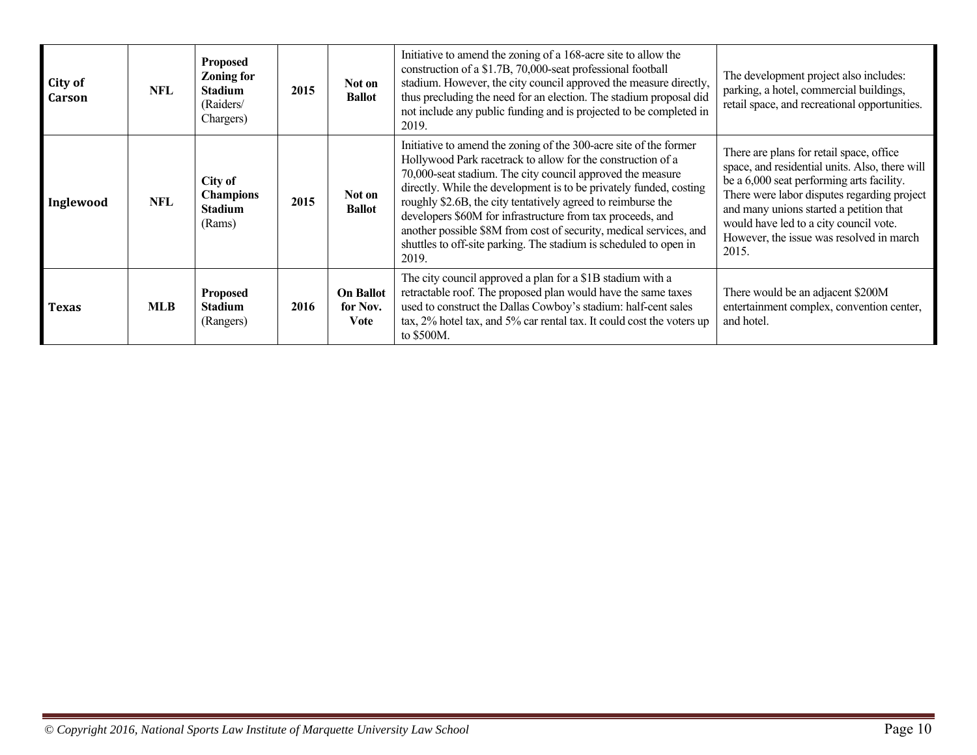| City of<br>Carson | NFL.       | <b>Proposed</b><br><b>Zoning for</b><br><b>Stadium</b><br>(Raiders/<br>Chargers) | 2015 | Not on<br><b>Ballot</b>              | Initiative to amend the zoning of a 168-acre site to allow the<br>construction of a \$1.7B, 70,000-seat professional football<br>stadium. However, the city council approved the measure directly,<br>thus precluding the need for an election. The stadium proposal did<br>not include any public funding and is projected to be completed in<br>2019.                                                                                                                                                                                                | The development project also includes:<br>parking, a hotel, commercial buildings,<br>retail space, and recreational opportunities.                                                                                                                                                                                               |
|-------------------|------------|----------------------------------------------------------------------------------|------|--------------------------------------|--------------------------------------------------------------------------------------------------------------------------------------------------------------------------------------------------------------------------------------------------------------------------------------------------------------------------------------------------------------------------------------------------------------------------------------------------------------------------------------------------------------------------------------------------------|----------------------------------------------------------------------------------------------------------------------------------------------------------------------------------------------------------------------------------------------------------------------------------------------------------------------------------|
| Inglewood         | NFL        | City of<br><b>Champions</b><br><b>Stadium</b><br>(Rams)                          | 2015 | Not on<br><b>Ballot</b>              | Initiative to amend the zoning of the 300-acre site of the former<br>Hollywood Park racetrack to allow for the construction of a<br>70,000-seat stadium. The city council approved the measure<br>directly. While the development is to be privately funded, costing<br>roughly \$2.6B, the city tentatively agreed to reimburse the<br>developers \$60M for infrastructure from tax proceeds, and<br>another possible \$8M from cost of security, medical services, and<br>shuttles to off-site parking. The stadium is scheduled to open in<br>2019. | There are plans for retail space, office<br>space, and residential units. Also, there will<br>be a 6,000 seat performing arts facility.<br>There were labor disputes regarding project<br>and many unions started a petition that<br>would have led to a city council vote.<br>However, the issue was resolved in march<br>2015. |
| <b>Texas</b>      | <b>MLB</b> | <b>Proposed</b><br><b>Stadium</b><br>(Rangers)                                   | 2016 | <b>On Ballot</b><br>for Nov.<br>Vote | The city council approved a plan for a \$1B stadium with a<br>retractable roof. The proposed plan would have the same taxes<br>used to construct the Dallas Cowboy's stadium: half-cent sales<br>tax, 2% hotel tax, and 5% car rental tax. It could cost the voters up<br>to \$500M.                                                                                                                                                                                                                                                                   | There would be an adjacent \$200M<br>entertainment complex, convention center,<br>and hotel.                                                                                                                                                                                                                                     |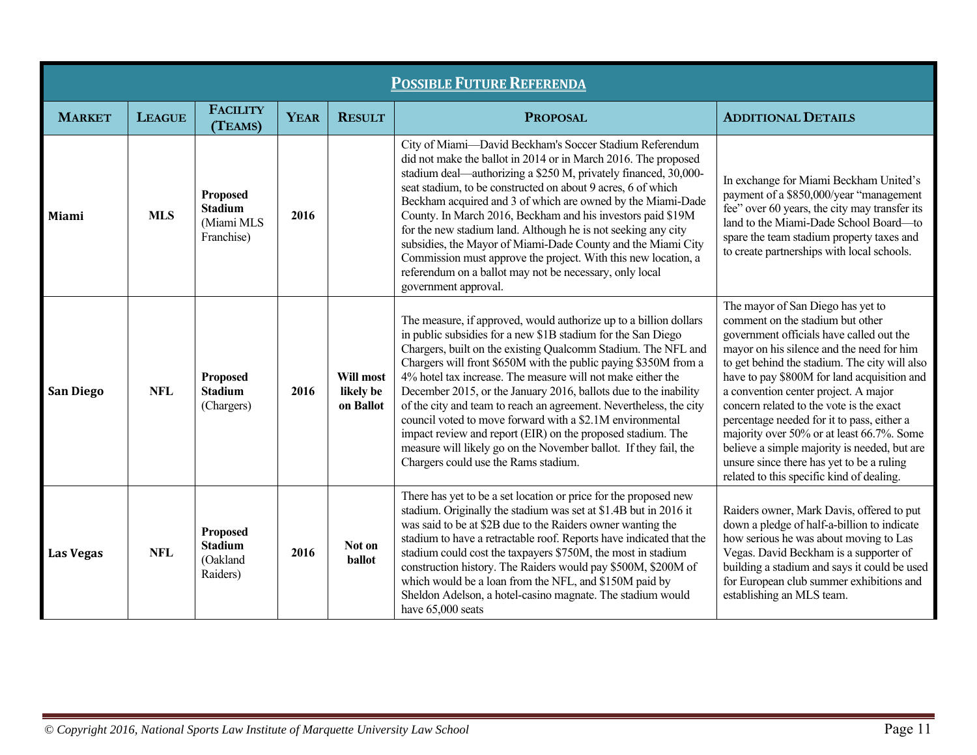| <b>POSSIBLE FUTURE REFERENDA</b> |               |                                                               |             |                                     |                                                                                                                                                                                                                                                                                                                                                                                                                                                                                                                                                                                                                                                                                                                        |                                                                                                                                                                                                                                                                                                                                                                                                                                                                                                                                                                                         |  |  |  |
|----------------------------------|---------------|---------------------------------------------------------------|-------------|-------------------------------------|------------------------------------------------------------------------------------------------------------------------------------------------------------------------------------------------------------------------------------------------------------------------------------------------------------------------------------------------------------------------------------------------------------------------------------------------------------------------------------------------------------------------------------------------------------------------------------------------------------------------------------------------------------------------------------------------------------------------|-----------------------------------------------------------------------------------------------------------------------------------------------------------------------------------------------------------------------------------------------------------------------------------------------------------------------------------------------------------------------------------------------------------------------------------------------------------------------------------------------------------------------------------------------------------------------------------------|--|--|--|
| <b>MARKET</b>                    | <b>LEAGUE</b> | <b>FACILITY</b><br>(TEAMS)                                    | <b>YEAR</b> | <b>RESULT</b>                       | <b>PROPOSAL</b>                                                                                                                                                                                                                                                                                                                                                                                                                                                                                                                                                                                                                                                                                                        | <b>ADDITIONAL DETAILS</b>                                                                                                                                                                                                                                                                                                                                                                                                                                                                                                                                                               |  |  |  |
| <b>Miami</b>                     | <b>MLS</b>    | <b>Proposed</b><br><b>Stadium</b><br>(Miami MLS<br>Franchise) | 2016        |                                     | City of Miami-David Beckham's Soccer Stadium Referendum<br>did not make the ballot in 2014 or in March 2016. The proposed<br>stadium deal—authorizing a \$250 M, privately financed, 30,000-<br>seat stadium, to be constructed on about 9 acres, 6 of which<br>Beckham acquired and 3 of which are owned by the Miami-Dade<br>County. In March 2016, Beckham and his investors paid \$19M<br>for the new stadium land. Although he is not seeking any city<br>subsidies, the Mayor of Miami-Dade County and the Miami City<br>Commission must approve the project. With this new location, a<br>referendum on a ballot may not be necessary, only local<br>government approval.                                       | In exchange for Miami Beckham United's<br>payment of a \$850,000/year "management<br>fee" over 60 years, the city may transfer its<br>land to the Miami-Dade School Board-to<br>spare the team stadium property taxes and<br>to create partnerships with local schools.                                                                                                                                                                                                                                                                                                                 |  |  |  |
| <b>San Diego</b>                 | <b>NFL</b>    | <b>Proposed</b><br><b>Stadium</b><br>(Chargers)               | 2016        | Will most<br>likely be<br>on Ballot | The measure, if approved, would authorize up to a billion dollars<br>in public subsidies for a new \$1B stadium for the San Diego<br>Chargers, built on the existing Qualcomm Stadium. The NFL and<br>Chargers will front \$650M with the public paying \$350M from a<br>4% hotel tax increase. The measure will not make either the<br>December 2015, or the January 2016, ballots due to the inability<br>of the city and team to reach an agreement. Nevertheless, the city<br>council voted to move forward with a \$2.1M environmental<br>impact review and report (EIR) on the proposed stadium. The<br>measure will likely go on the November ballot. If they fail, the<br>Chargers could use the Rams stadium. | The mayor of San Diego has yet to<br>comment on the stadium but other<br>government officials have called out the<br>mayor on his silence and the need for him<br>to get behind the stadium. The city will also<br>have to pay \$800M for land acquisition and<br>a convention center project. A major<br>concern related to the vote is the exact<br>percentage needed for it to pass, either a<br>majority over 50% or at least 66.7%. Some<br>believe a simple majority is needed, but are<br>unsure since there has yet to be a ruling<br>related to this specific kind of dealing. |  |  |  |
| <b>Las Vegas</b>                 | <b>NFL</b>    | Proposed<br><b>Stadium</b><br>(Oakland<br>Raiders)            | 2016        | Not on<br>ballot                    | There has yet to be a set location or price for the proposed new<br>stadium. Originally the stadium was set at \$1.4B but in 2016 it<br>was said to be at \$2B due to the Raiders owner wanting the<br>stadium to have a retractable roof. Reports have indicated that the<br>stadium could cost the taxpayers \$750M, the most in stadium<br>construction history. The Raiders would pay \$500M, \$200M of<br>which would be a loan from the NFL, and \$150M paid by<br>Sheldon Adelson, a hotel-casino magnate. The stadium would<br>have 65,000 seats                                                                                                                                                               | Raiders owner, Mark Davis, offered to put<br>down a pledge of half-a-billion to indicate<br>how serious he was about moving to Las<br>Vegas. David Beckham is a supporter of<br>building a stadium and says it could be used<br>for European club summer exhibitions and<br>establishing an MLS team.                                                                                                                                                                                                                                                                                   |  |  |  |